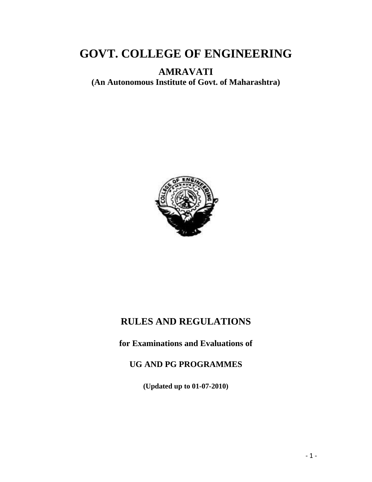# **GOVT. COLLEGE OF ENGINEERING**

**AMRAVATI** 

**(An Autonomous Institute of Govt. of Maharashtra)**



## **RULES AND REGULATIONS**

**for Examinations and Evaluations of** 

## **UG AND PG PROGRAMMES**

**(Updated up to 01-07-2010)**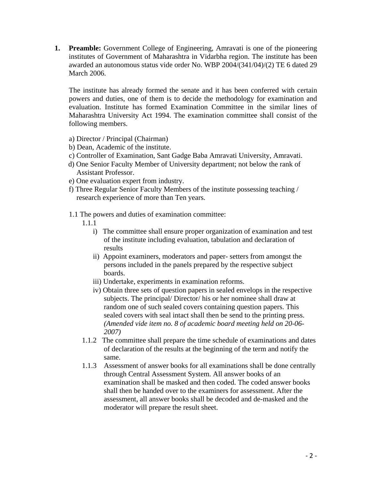**1. Preamble:** Government College of Engineering, Amravati is one of the pioneering institutes of Government of Maharashtra in Vidarbha region. The institute has been awarded an autonomous status vide order No. WBP 2004/(341/04)/(2) TE 6 dated 29 March 2006.

The institute has already formed the senate and it has been conferred with certain powers and duties, one of them is to decide the methodology for examination and evaluation. Institute has formed Examination Committee in the similar lines of Maharashtra University Act 1994. The examination committee shall consist of the following members.

- a) Director / Principal (Chairman)
- b) Dean, Academic of the institute.
- c) Controller of Examination, Sant Gadge Baba Amravati University, Amravati.
- d) One Senior Faculty Member of University department; not below the rank of Assistant Professor.
- e) One evaluation expert from industry.
- f) Three Regular Senior Faculty Members of the institute possessing teaching / research experience of more than Ten years.
- 1.1 The powers and duties of examination committee:
	- 1.1.1
		- i) The committee shall ensure proper organization of examination and test of the institute including evaluation, tabulation and declaration of results
		- ii) Appoint examiners, moderators and paper- setters from amongst the persons included in the panels prepared by the respective subject boards.
		- iii) Undertake, experiments in examination reforms.
		- iv) Obtain three sets of question papers in sealed envelops in the respective subjects. The principal/ Director/ his or her nominee shall draw at random one of such sealed covers containing question papers. This sealed covers with seal intact shall then be send to the printing press. *(Amended vide item no. 8 of academic board meeting held on 20-06- 2007)*
	- 1.1.2 The committee shall prepare the time schedule of examinations and dates of declaration of the results at the beginning of the term and notify the same.
	- 1.1.3 Assessment of answer books for all examinations shall be done centrally through Central Assessment System. All answer books of an examination shall be masked and then coded. The coded answer books shall then be handed over to the examiners for assessment. After the assessment, all answer books shall be decoded and de-masked and the moderator will prepare the result sheet.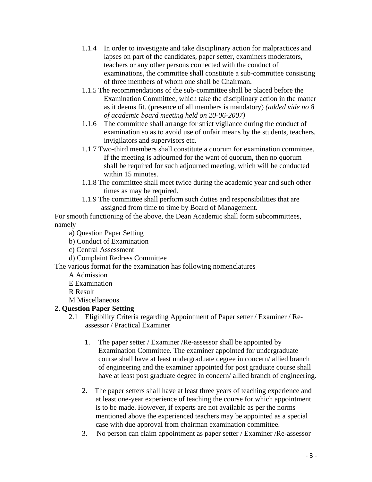- 1.1.4 In order to investigate and take disciplinary action for malpractices and lapses on part of the candidates, paper setter, examiners moderators, teachers or any other persons connected with the conduct of examinations, the committee shall constitute a sub-committee consisting of three members of whom one shall be Chairman.
- 1.1.5 The recommendations of the sub-committee shall be placed before the Examination Committee, which take the disciplinary action in the matter as it deems fit. (presence of all members is mandatory) *(added vide no 8 of academic board meeting held on 20-06-2007)*
- 1.1.6 The committee shall arrange for strict vigilance during the conduct of examination so as to avoid use of unfair means by the students, teachers, invigilators and supervisors etc.
- 1.1.7 Two-third members shall constitute a quorum for examination committee. If the meeting is adjourned for the want of quorum, then no quorum shall be required for such adjourned meeting, which will be conducted within 15 minutes.
- 1.1.8 The committee shall meet twice during the academic year and such other times as may be required.
- 1.1.9 The committee shall perform such duties and responsibilities that are assigned from time to time by Board of Management.

For smooth functioning of the above, the Dean Academic shall form subcommittees, namely

a) Question Paper Setting

- b) Conduct of Examination
- c) Central Assessment
- d) Complaint Redress Committee

The various format for the examination has following nomenclatures

- A Admission
- E Examination

R Result

M Miscellaneous

## **2. Question Paper Setting**

- 2.1 Eligibility Criteria regarding Appointment of Paper setter / Examiner / Reassessor / Practical Examiner
	- 1. The paper setter / Examiner /Re-assessor shall be appointed by Examination Committee. The examiner appointed for undergraduate course shall have at least undergraduate degree in concern/ allied branch of engineering and the examiner appointed for post graduate course shall have at least post graduate degree in concern/ allied branch of engineering.
	- 2. The paper setters shall have at least three years of teaching experience and at least one-year experience of teaching the course for which appointment is to be made. However, if experts are not available as per the norms mentioned above the experienced teachers may be appointed as a special case with due approval from chairman examination committee.
	- 3. No person can claim appointment as paper setter / Examiner /Re-assessor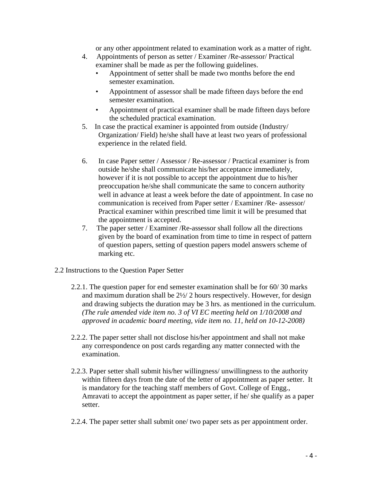or any other appointment related to examination work as a matter of right.

- 4. Appointments of person as setter / Examiner /Re-assessor/ Practical examiner shall be made as per the following guidelines.
	- Appointment of setter shall be made two months before the end semester examination.
	- Appointment of assessor shall be made fifteen days before the end semester examination.
	- Appointment of practical examiner shall be made fifteen days before the scheduled practical examination.
- 5. In case the practical examiner is appointed from outside (Industry/ Organization/ Field) he/she shall have at least two years of professional experience in the related field.
- 6. In case Paper setter / Assessor / Re-assessor / Practical examiner is from outside he/she shall communicate his/her acceptance immediately, however if it is not possible to accept the appointment due to his/her preoccupation he/she shall communicate the same to concern authority well in advance at least a week before the date of appointment. In case no communication is received from Paper setter / Examiner /Re- assessor/ Practical examiner within prescribed time limit it will be presumed that the appointment is accepted.
- 7. The paper setter / Examiner /Re-assessor shall follow all the directions given by the board of examination from time to time in respect of pattern of question papers, setting of question papers model answers scheme of marking etc.
- 2.2 Instructions to the Question Paper Setter
	- 2.2.1. The question paper for end semester examination shall be for 60/ 30 marks and maximum duration shall be 2½/ 2 hours respectively. However, for design and drawing subjects the duration may be 3 hrs. as mentioned in the curriculum. *(The rule amended vide item no. 3 of VI EC meeting held on 1/10/2008 and approved in academic board meeting, vide item no. 11, held on 10-12-2008)*
	- 2.2.2. The paper setter shall not disclose his/her appointment and shall not make any correspondence on post cards regarding any matter connected with the examination.
	- 2.2.3. Paper setter shall submit his/her willingness/ unwillingness to the authority within fifteen days from the date of the letter of appointment as paper setter. It is mandatory for the teaching staff members of Govt. College of Engg., Amravati to accept the appointment as paper setter, if he/ she qualify as a paper setter.
	- 2.2.4. The paper setter shall submit one/ two paper sets as per appointment order.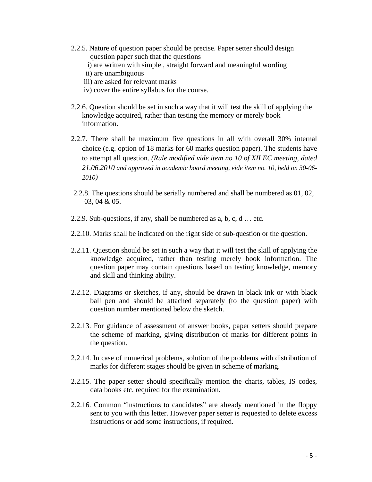- 2.2.5. Nature of question paper should be precise. Paper setter should design question paper such that the questions
	- i) are written with simple , straight forward and meaningful wording
	- ii) are unambiguous
	- iii) are asked for relevant marks
	- iv) cover the entire syllabus for the course.
- 2.2.6. Question should be set in such a way that it will test the skill of applying the knowledge acquired, rather than testing the memory or merely book information.
- 2.2.7. There shall be maximum five questions in all with overall 30% internal choice (e.g. option of 18 marks for 60 marks question paper). The students have to attempt all question. *(Rule modified vide item no 10 of XII EC meeting, dated 21.06.2010 and approved in academic board meeting, vide item no. 10, held on 30-06- 2010)*
- 2.2.8. The questions should be serially numbered and shall be numbered as 01, 02, 03, 04 & 05.
- 2.2.9. Sub-questions, if any, shall be numbered as a, b, c, d … etc.
- 2.2.10. Marks shall be indicated on the right side of sub-question or the question.
- 2.2.11. Question should be set in such a way that it will test the skill of applying the knowledge acquired, rather than testing merely book information. The question paper may contain questions based on testing knowledge, memory and skill and thinking ability.
- 2.2.12. Diagrams or sketches, if any, should be drawn in black ink or with black ball pen and should be attached separately (to the question paper) with question number mentioned below the sketch.
- 2.2.13. For guidance of assessment of answer books, paper setters should prepare the scheme of marking, giving distribution of marks for different points in the question.
- 2.2.14. In case of numerical problems, solution of the problems with distribution of marks for different stages should be given in scheme of marking.
- 2.2.15. The paper setter should specifically mention the charts, tables, IS codes, data books etc. required for the examination.
- 2.2.16. Common "instructions to candidates" are already mentioned in the floppy sent to you with this letter. However paper setter is requested to delete excess instructions or add some instructions, if required.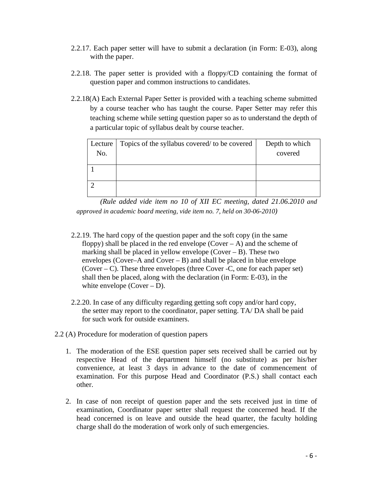- 2.2.17. Each paper setter will have to submit a declaration (in Form: E-03), along with the paper.
- 2.2.18. The paper setter is provided with a floppy/CD containing the format of question paper and common instructions to candidates.
- 2.2.18(A) Each External Paper Setter is provided with a teaching scheme submitted by a course teacher who has taught the course. Paper Setter may refer this teaching scheme while setting question paper so as to understand the depth of a particular topic of syllabus dealt by course teacher.

| Lecture | Topics of the syllabus covered/ to be covered | Depth to which |
|---------|-----------------------------------------------|----------------|
| No.     |                                               | covered        |
|         |                                               |                |
|         |                                               |                |

*(Rule added vide item no 10 of XII EC meeting, dated 21.06.2010 and approved in academic board meeting, vide item no. 7, held on 30-06-2010)* 

- 2.2.19. The hard copy of the question paper and the soft copy (in the same floppy) shall be placed in the red envelope  $(Cover - A)$  and the scheme of marking shall be placed in yellow envelope  $(Cover - B)$ . These two envelopes (Cover–A and Cover – B) and shall be placed in blue envelope (Cover – C). These three envelopes (three Cover -C, one for each paper set) shall then be placed, along with the declaration (in Form: E-03), in the white envelope  $(Cover - D)$ .
- 2.2.20. In case of any difficulty regarding getting soft copy and/or hard copy, the setter may report to the coordinator, paper setting. TA/ DA shall be paid for such work for outside examiners.
- 2.2 (A) Procedure for moderation of question papers
	- 1. The moderation of the ESE question paper sets received shall be carried out by respective Head of the department himself (no substitute) as per his/her convenience, at least 3 days in advance to the date of commencement of examination. For this purpose Head and Coordinator (P.S.) shall contact each other.
	- 2. In case of non receipt of question paper and the sets received just in time of examination, Coordinator paper setter shall request the concerned head. If the head concerned is on leave and outside the head quarter, the faculty holding charge shall do the moderation of work only of such emergencies.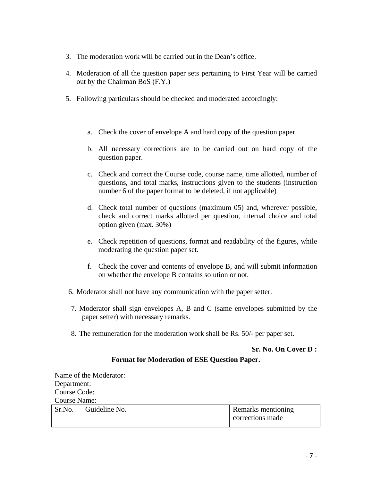- 3. The moderation work will be carried out in the Dean's office.
- 4. Moderation of all the question paper sets pertaining to First Year will be carried out by the Chairman BoS (F.Y.)
- 5. Following particulars should be checked and moderated accordingly:
	- a. Check the cover of envelope A and hard copy of the question paper.
	- b. All necessary corrections are to be carried out on hard copy of the question paper.
	- c. Check and correct the Course code, course name, time allotted, number of questions, and total marks, instructions given to the students (instruction number 6 of the paper format to be deleted, if not applicable)
	- d. Check total number of questions (maximum 05) and, wherever possible, check and correct marks allotted per question, internal choice and total option given (max. 30%)
	- e. Check repetition of questions, format and readability of the figures, while moderating the question paper set.
	- f. Check the cover and contents of envelope B, and will submit information on whether the envelope B contains solution or not.
- 6. Moderator shall not have any communication with the paper setter.
- 7. Moderator shall sign envelopes A, B and C (same envelopes submitted by the paper setter) with necessary remarks.
- 8. The remuneration for the moderation work shall be Rs. 50/- per paper set.

## **Sr. No. On Cover D :**

## **Format for Moderation of ESE Question Paper.**

Name of the Moderator: Department: Course Code: Course Name:

|  | $\vert$ Sr.No. $\vert$ Guideline No. | Remarks mentioning |
|--|--------------------------------------|--------------------|
|  |                                      | corrections made   |
|  |                                      |                    |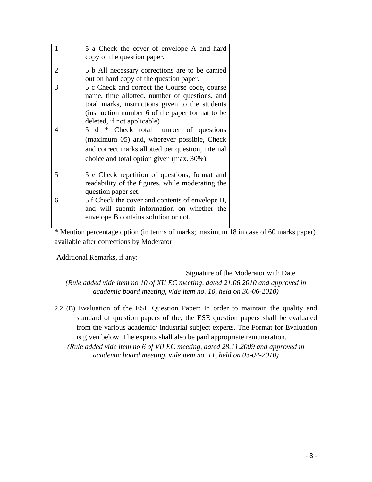|                | 5 a Check the cover of envelope A and hard<br>copy of the question paper.                                                                                                                                                           |  |
|----------------|-------------------------------------------------------------------------------------------------------------------------------------------------------------------------------------------------------------------------------------|--|
| $\overline{2}$ | 5 b All necessary corrections are to be carried<br>out on hard copy of the question paper.                                                                                                                                          |  |
| 3              | 5 c Check and correct the Course code, course<br>name, time allotted, number of questions, and<br>total marks, instructions given to the students<br>(instruction number 6 of the paper format to be<br>deleted, if not applicable) |  |
| $\overline{4}$ | 5 d * Check total number of questions<br>(maximum 05) and, wherever possible, Check<br>and correct marks allotted per question, internal<br>choice and total option given (max. 30%),                                               |  |
| 5              | 5 e Check repetition of questions, format and<br>readability of the figures, while moderating the<br>question paper set.                                                                                                            |  |
| 6              | 5 f Check the cover and contents of envelope B,<br>and will submit information on whether the<br>envelope B contains solution or not.                                                                                               |  |

\* Mention percentage option (in terms of marks; maximum 18 in case of 60 marks paper) available after corrections by Moderator.

Additional Remarks, if any:

## Signature of the Moderator with Date

*(Rule added vide item no 10 of XII EC meeting, dated 21.06.2010 and approved in academic board meeting, vide item no. 10, held on 30-06-2010)* 

2.2 (B) Evaluation of the ESE Question Paper: In order to maintain the quality and standard of question papers of the, the ESE question papers shall be evaluated from the various academic/ industrial subject experts. The Format for Evaluation is given below. The experts shall also be paid appropriate remuneration.

*(Rule added vide item no 6 of VII EC meeting, dated 28.11.2009 and approved in academic board meeting, vide item no. 11, held on 03-04-2010)*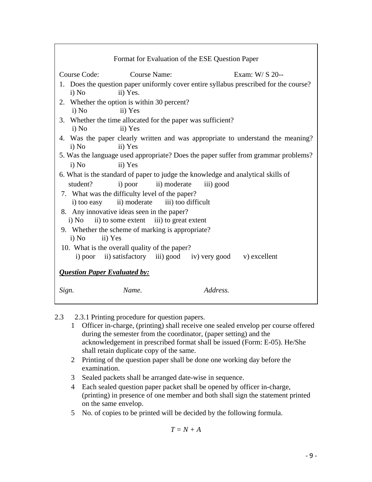| Format for Evaluation of the ESE Question Paper                                                            |                                                  |  |  |  |  |
|------------------------------------------------------------------------------------------------------------|--------------------------------------------------|--|--|--|--|
| Exam: $W/S$ 20--<br>Course Code:<br>Course Name:                                                           |                                                  |  |  |  |  |
| 1. Does the question paper uniformly cover entire syllabus prescribed for the course?<br>ii) Yes.<br>i) No |                                                  |  |  |  |  |
| 2. Whether the option is within 30 percent?<br>ii) Yes<br>i) No                                            |                                                  |  |  |  |  |
| 3. Whether the time allocated for the paper was sufficient?<br>ii) Yes<br>i) No                            |                                                  |  |  |  |  |
| 4. Was the paper clearly written and was appropriate to understand the meaning?<br>ii) Yes<br>i) No        |                                                  |  |  |  |  |
| 5. Was the language used appropriate? Does the paper suffer from grammar problems?                         |                                                  |  |  |  |  |
| i) No<br>ii) Yes                                                                                           |                                                  |  |  |  |  |
| 6. What is the standard of paper to judge the knowledge and analytical skills of                           |                                                  |  |  |  |  |
| student?<br>i) poor ii) moderate<br>iii) good                                                              |                                                  |  |  |  |  |
| 7. What was the difficulty level of the paper?<br>i) too easy ii) moderate iii) too difficult              |                                                  |  |  |  |  |
| 8. Any innovative ideas seen in the paper?                                                                 |                                                  |  |  |  |  |
|                                                                                                            | ii) to some extent iii) to great extent<br>i) No |  |  |  |  |
| 9. Whether the scheme of marking is appropriate?<br>i) No<br>ii) Yes                                       |                                                  |  |  |  |  |
| 10. What is the overall quality of the paper?                                                              |                                                  |  |  |  |  |
| i) poor ii) satisfactory iii) good iv) very good v) excellent                                              |                                                  |  |  |  |  |
| <b>Question Paper Evaluated by:</b>                                                                        |                                                  |  |  |  |  |
| Address.<br>Name.<br>Sign.                                                                                 |                                                  |  |  |  |  |

- 2.3 2.3.1 Printing procedure for question papers.
	- 1 Officer in-charge, (printing) shall receive one sealed envelop per course offered during the semester from the coordinator, (paper setting) and the acknowledgement in prescribed format shall be issued (Form: E-05). He/She shall retain duplicate copy of the same.
	- 2 Printing of the question paper shall be done one working day before the examination.
	- 3 Sealed packets shall be arranged date-wise in sequence.
	- 4 Each sealed question paper packet shall be opened by officer in-charge, (printing) in presence of one member and both shall sign the statement printed on the same envelop.
	- 5 No. of copies to be printed will be decided by the following formula.

$$
T = N + A
$$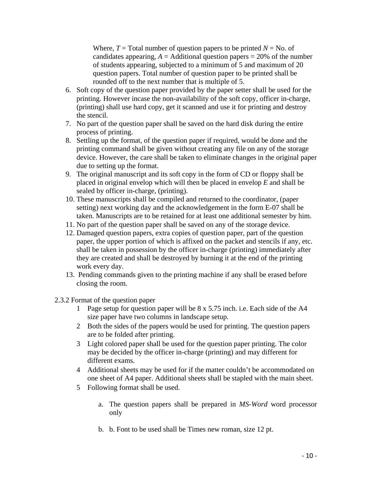Where,  $T = \text{Total number of question papers to be printed } N = \text{No. of}$ candidates appearing,  $A =$  Additional question papers  $= 20\%$  of the number of students appearing, subjected to a minimum of 5 and maximum of 20 question papers. Total number of question paper to be printed shall be rounded off to the next number that is multiple of 5.

- 6. Soft copy of the question paper provided by the paper setter shall be used for the printing. However incase the non-availability of the soft copy, officer in-charge, (printing) shall use hard copy, get it scanned and use it for printing and destroy the stencil.
- 7. No part of the question paper shall be saved on the hard disk during the entire process of printing.
- 8. Settling up the format, of the question paper if required, would be done and the printing command shall be given without creating any file on any of the storage device. However, the care shall be taken to eliminate changes in the original paper due to setting up the format.
- 9. The original manuscript and its soft copy in the form of CD or floppy shall be placed in original envelop which will then be placed in envelop *E* and shall be sealed by officer in-charge, (printing).
- 10. These manuscripts shall be compiled and returned to the coordinator, (paper setting) next working day and the acknowledgement in the form E-07 shall be taken. Manuscripts are to be retained for at least one additional semester by him.
- 11. No part of the question paper shall be saved on any of the storage device.
- 12. Damaged question papers, extra copies of question paper, part of the question paper, the upper portion of which is affixed on the packet and stencils if any, etc. shall be taken in possession by the officer in-charge (printing) immediately after they are created and shall be destroyed by burning it at the end of the printing work every day.
- 13. Pending commands given to the printing machine if any shall be erased before closing the room.
- 2.3.2 Format of the question paper
	- 1 Page setup for question paper will be 8 x 5.75 inch. i.e. Each side of the A4 size paper have two columns in landscape setup.
	- 2 Both the sides of the papers would be used for printing. The question papers are to be folded after printing.
	- 3 Light colored paper shall be used for the question paper printing. The color may be decided by the officer in-charge (printing) and may different for different exams.
	- 4 Additional sheets may be used for if the matter couldn't be accommodated on one sheet of A4 paper. Additional sheets shall be stapled with the main sheet.
	- 5 Following format shall be used.
		- a. The question papers shall be prepared in *MS-Word* word processor only
		- b. b. Font to be used shall be Times new roman, size 12 pt.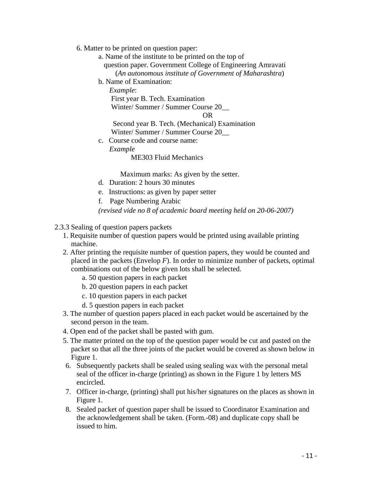- 6. Matter to be printed on question paper:
	- a. Name of the institute to be printed on the top of question paper. Government College of Engineering Amravati (*An autonomous institute of Government of Maharashtra*)
	- b. Name of Examination:

 *Example*: First year B. Tech. Examination Winter/ Summer / Summer Course 20\_\_ OR Second year B. Tech. (Mechanical) Examination

- Winter/ Summer / Summer Course 20\_\_
- c. Course code and course name:

 *Example* 

ME303 Fluid Mechanics

Maximum marks: As given by the setter.

- d. Duration: 2 hours 30 minutes
- e. Instructions: as given by paper setter
- f. Page Numbering Arabic

*(revised vide no 8 of academic board meeting held on 20-06-2007)*

- 2.3.3 Sealing of question papers packets
	- 1. Requisite number of question papers would be printed using available printing machine.
	- 2. After printing the requisite number of question papers, they would be counted and placed in the packets (Envelop *F*). In order to minimize number of packets, optimal combinations out of the below given lots shall be selected.
		- a. 50 question papers in each packet
		- b. 20 question papers in each packet
		- c. 10 question papers in each packet
		- d. 5 question papers in each packet
	- 3. The number of question papers placed in each packet would be ascertained by the second person in the team.
	- 4. Open end of the packet shall be pasted with gum.
	- 5. The matter printed on the top of the question paper would be cut and pasted on the packet so that all the three joints of the packet would be covered as shown below in Figure 1.
	- 6. Subsequently packets shall be sealed using sealing wax with the personal metal seal of the officer in-charge (printing) as shown in the Figure 1 by letters MS encircled.
	- 7. Officer in-charge, (printing) shall put his/her signatures on the places as shown in Figure 1.
	- 8. Sealed packet of question paper shall be issued to Coordinator Examination and the acknowledgement shall be taken. (Form.-08) and duplicate copy shall be issued to him.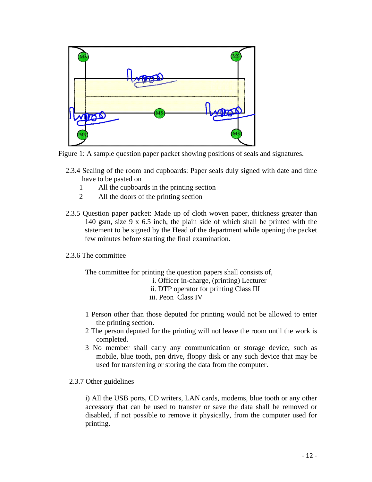

Figure 1: A sample question paper packet showing positions of seals and signatures.

- 2.3.4 Sealing of the room and cupboards: Paper seals duly signed with date and time have to be pasted on
	- 1 All the cupboards in the printing section
	- 2 All the doors of the printing section
- 2.3.5 Question paper packet: Made up of cloth woven paper, thickness greater than 140 gsm, size 9 x 6.5 inch, the plain side of which shall be printed with the statement to be signed by the Head of the department while opening the packet few minutes before starting the final examination.
- 2.3.6 The committee

The committee for printing the question papers shall consists of,

i. Officer in-charge, (printing) Lecturer

ii. DTP operator for printing Class III

- iii. Peon Class IV
- 1 Person other than those deputed for printing would not be allowed to enter the printing section.
- 2 The person deputed for the printing will not leave the room until the work is completed.
- 3 No member shall carry any communication or storage device, such as mobile, blue tooth, pen drive, floppy disk or any such device that may be used for transferring or storing the data from the computer.
- 2.3.7 Other guidelines

i) All the USB ports, CD writers, LAN cards, modems, blue tooth or any other accessory that can be used to transfer or save the data shall be removed or disabled, if not possible to remove it physically, from the computer used for printing.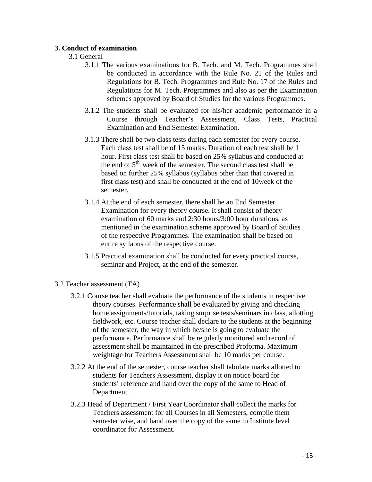## **3. Conduct of examination**

## 3.1 General

- 3.1.1 The various examinations for B. Tech. and M. Tech. Programmes shall be conducted in accordance with the Rule No. 21 of the Rules and Regulations for B. Tech. Programmes and Rule No. 17 of the Rules and Regulations for M. Tech. Programmes and also as per the Examination schemes approved by Board of Studies for the various Programmes.
- 3.1.2 The students shall be evaluated for his/her academic performance in a Course through Teacher's Assessment, Class Tests, Practical Examination and End Semester Examination.
- 3.1.3 There shall be two class tests during each semester for every course. Each class test shall be of 15 marks. Duration of each test shall be 1 hour. First class test shall be based on 25% syllabus and conducted at the end of  $5<sup>th</sup>$  week of the semester. The second class test shall be based on further 25% syllabus (syllabus other than that covered in first class test) and shall be conducted at the end of 10week of the semester.
- 3.1.4 At the end of each semester, there shall be an End Semester Examination for every theory course. It shall consist of theory examination of 60 marks and 2:30 hours/3:00 hour durations, as mentioned in the examination scheme approved by Board of Studies of the respective Programmes. The examination shall be based on entire syllabus of the respective course.
- 3.1.5 Practical examination shall be conducted for every practical course, seminar and Project, at the end of the semester.
- 3.2 Teacher assessment (TA)
	- 3.2.1 Course teacher shall evaluate the performance of the students in respective theory courses. Performance shall be evaluated by giving and checking home assignments/tutorials, taking surprise tests/seminars in class, allotting fieldwork, etc. Course teacher shall declare to the students at the beginning of the semester, the way in which he/she is going to evaluate the performance. Performance shall be regularly monitored and record of assessment shall be maintained in the prescribed Proforma. Maximum weightage for Teachers Assessment shall be 10 marks per course.
	- 3.2.2 At the end of the semester, course teacher shall tabulate marks allotted to students for Teachers Assessment, display it on notice board for students' reference and hand over the copy of the same to Head of Department.
	- 3.2.3 Head of Department / First Year Coordinator shall collect the marks for Teachers assessment for all Courses in all Semesters, compile them semester wise, and hand over the copy of the same to Institute level coordinator for Assessment.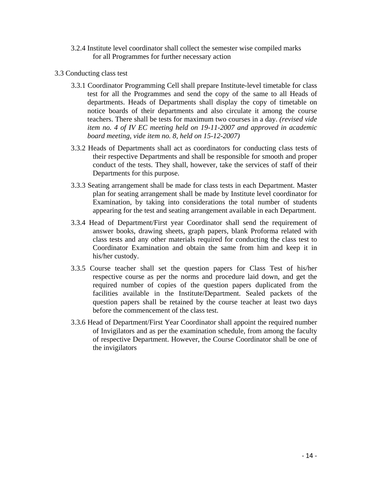- 3.2.4 Institute level coordinator shall collect the semester wise compiled marks for all Programmes for further necessary action
- 3.3 Conducting class test
	- 3.3.1 Coordinator Programming Cell shall prepare Institute-level timetable for class test for all the Programmes and send the copy of the same to all Heads of departments. Heads of Departments shall display the copy of timetable on notice boards of their departments and also circulate it among the course teachers. There shall be tests for maximum two courses in a day. *(revised vide item no. 4 of IV EC meeting held on 19-11-2007 and approved in academic board meeting, vide item no. 8, held on 15-12-2007)*
	- 3.3.2 Heads of Departments shall act as coordinators for conducting class tests of their respective Departments and shall be responsible for smooth and proper conduct of the tests. They shall, however, take the services of staff of their Departments for this purpose.
	- 3.3.3 Seating arrangement shall be made for class tests in each Department. Master plan for seating arrangement shall be made by Institute level coordinator for Examination, by taking into considerations the total number of students appearing for the test and seating arrangement available in each Department.
	- 3.3.4 Head of Department/First year Coordinator shall send the requirement of answer books, drawing sheets, graph papers, blank Proforma related with class tests and any other materials required for conducting the class test to Coordinator Examination and obtain the same from him and keep it in his/her custody.
	- 3.3.5 Course teacher shall set the question papers for Class Test of his/her respective course as per the norms and procedure laid down, and get the required number of copies of the question papers duplicated from the facilities available in the Institute/Department. Sealed packets of the question papers shall be retained by the course teacher at least two days before the commencement of the class test.
	- 3.3.6 Head of Department/First Year Coordinator shall appoint the required number of Invigilators and as per the examination schedule, from among the faculty of respective Department. However, the Course Coordinator shall be one of the invigilators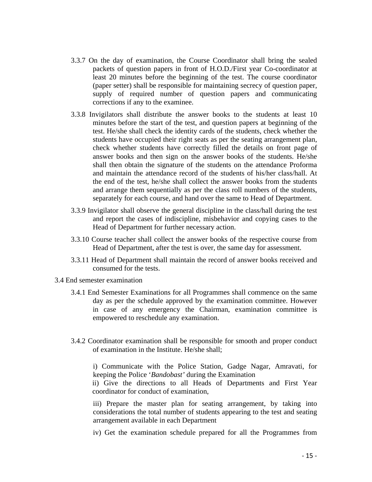- 3.3.7 On the day of examination, the Course Coordinator shall bring the sealed packets of question papers in front of H.O.D./First year Co-coordinator at least 20 minutes before the beginning of the test. The course coordinator (paper setter) shall be responsible for maintaining secrecy of question paper, supply of required number of question papers and communicating corrections if any to the examinee.
- 3.3.8 Invigilators shall distribute the answer books to the students at least 10 minutes before the start of the test, and question papers at beginning of the test. He/she shall check the identity cards of the students, check whether the students have occupied their right seats as per the seating arrangement plan, check whether students have correctly filled the details on front page of answer books and then sign on the answer books of the students. He/she shall then obtain the signature of the students on the attendance Proforma and maintain the attendance record of the students of his/her class/hall. At the end of the test, he/she shall collect the answer books from the students and arrange them sequentially as per the class roll numbers of the students, separately for each course, and hand over the same to Head of Department.
- 3.3.9 Invigilator shall observe the general discipline in the class/hall during the test and report the cases of indiscipline, misbehavior and copying cases to the Head of Department for further necessary action.
- 3.3.10 Course teacher shall collect the answer books of the respective course from Head of Department, after the test is over, the same day for assessment.
- 3.3.11 Head of Department shall maintain the record of answer books received and consumed for the tests.
- 3.4 End semester examination
	- 3.4.1 End Semester Examinations for all Programmes shall commence on the same day as per the schedule approved by the examination committee. However in case of any emergency the Chairman, examination committee is empowered to reschedule any examination.
	- 3.4.2 Coordinator examination shall be responsible for smooth and proper conduct of examination in the Institute. He/she shall;

i) Communicate with the Police Station, Gadge Nagar, Amravati, for keeping the Police '*Bandobast'* during the Examination

ii) Give the directions to all Heads of Departments and First Year coordinator for conduct of examination,

iii) Prepare the master plan for seating arrangement, by taking into considerations the total number of students appearing to the test and seating arrangement available in each Department

iv) Get the examination schedule prepared for all the Programmes from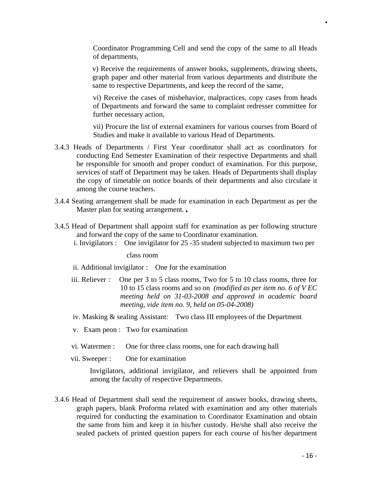Coordinator Programming Cell and send the copy of the same to all Heads of departments,

v) Receive the requirements of answer books, supplements, drawing sheets, graph paper and other material from various departments and distribute the same to respective Departments, and keep the record of the same,

vi) Receive the cases of misbehavior, malpractices, copy cases from heads of Departments and forward the same to complaint redresser committee for further necessary action,

vii) Procure the list of external examiners for various courses from Board of Studies and make it available to various Head of Departments.

- 3.4.3 Heads of Departments / First Year coordinator shall act as coordinators for conducting End Semester Examination of their respective Departments and shall be responsible for smooth and proper conduct of examination. For this purpose, services of staff of Department may be taken. Heads of Departments shall display the copy of timetable on notice boards of their departments and also circulate it among the course teachers.
- 3.4.4 Seating arrangement shall be made for examination in each Department as per the Master plan for seating arrangement..
- 3.4.5 Head of Department shall appoint staff for examination as per following structure and forward the copy of the same to Coordinator examination.
	- i. Invigilators : One invigilator for 25 -35 student subjected to maximum two per

class room

ii. Additional invigilator : One for the examination

- iii. Reliever : One per 3 to 5 class rooms, Two for 5 to 10 class rooms, three for 10 to 15 class rooms and so on *(modified as per item no. 6 of V EC meeting held on 31-03-2008 and approved in academic board meeting, vide item no. 9, held on 05-04-2008)*
- iv. Masking & sealing Assistant: Two class III employees of the Department
- v. Exam peon : Two for examination
- vi. Watermen : One for three class rooms, one for each drawing hall
- vii. Sweeper : One for examination

Invigilators, additional invigilator, and relievers shall be appointed from among the faculty of respective Departments.

3.4.6 Head of Department shall send the requirement of answer books, drawing sheets, graph papers, blank Proforma related with examination and any other materials required for conducting the examination to Coordinator Examination and obtain the same from him and keep it in his/her custody. He/she shall also receive the sealed packets of printed question papers for each course of his/her department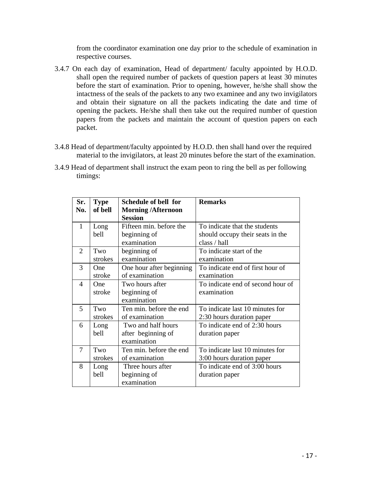from the coordinator examination one day prior to the schedule of examination in respective courses.

- 3.4.7 On each day of examination, Head of department/ faculty appointed by H.O.D. shall open the required number of packets of question papers at least 30 minutes before the start of examination. Prior to opening, however, he/she shall show the intactness of the seals of the packets to any two examinee and any two invigilators and obtain their signature on all the packets indicating the date and time of opening the packets. He/she shall then take out the required number of question papers from the packets and maintain the account of question papers on each packet.
- 3.4.8 Head of department/faculty appointed by H.O.D. then shall hand over the required material to the invigilators, at least 20 minutes before the start of the examination.
- 3.4.9 Head of department shall instruct the exam peon to ring the bell as per following timings:

| Sr.          | <b>Type</b>          | Schedule of bell for                                    | <b>Remarks</b>                                                                    |
|--------------|----------------------|---------------------------------------------------------|-----------------------------------------------------------------------------------|
| No.          | of bell              | <b>Morning/Afternoon</b><br><b>Session</b>              |                                                                                   |
| $\mathbf{1}$ | Long<br>bell         | Fifteen min. before the<br>beginning of<br>examination  | To indicate that the students<br>should occupy their seats in the<br>class / hall |
| 2            | Two<br>strokes       | beginning of<br>examination                             | To indicate start of the<br>examination                                           |
| 3            | <b>One</b><br>stroke | One hour after beginning<br>of examination              | To indicate end of first hour of<br>examination                                   |
| 4            | One<br>stroke        | Two hours after<br>beginning of<br>examination          | To indicate end of second hour of<br>examination                                  |
| 5            | Two<br>strokes       | Ten min. before the end<br>of examination               | To indicate last 10 minutes for<br>2:30 hours duration paper                      |
| 6            | Long<br>bell         | Two and half hours<br>after beginning of<br>examination | To indicate end of 2:30 hours<br>duration paper                                   |
| 7            | Two<br>strokes       | Ten min. before the end<br>of examination               | To indicate last 10 minutes for<br>3:00 hours duration paper                      |
| 8            | Long<br>bell         | Three hours after<br>beginning of<br>examination        | To indicate end of 3:00 hours<br>duration paper                                   |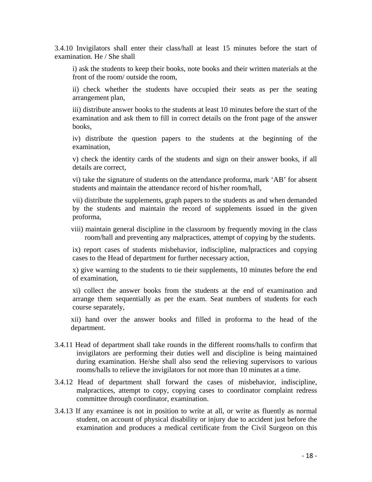3.4.10 Invigilators shall enter their class/hall at least 15 minutes before the start of examination. He / She shall

i) ask the students to keep their books, note books and their written materials at the front of the room/ outside the room,

ii) check whether the students have occupied their seats as per the seating arrangement plan,

iii) distribute answer books to the students at least 10 minutes before the start of the examination and ask them to fill in correct details on the front page of the answer books,

iv) distribute the question papers to the students at the beginning of the examination,

v) check the identity cards of the students and sign on their answer books, if all details are correct,

vi) take the signature of students on the attendance proforma, mark 'AB' for absent students and maintain the attendance record of his/her room/hall,

vii) distribute the supplements, graph papers to the students as and when demanded by the students and maintain the record of supplements issued in the given proforma,

viii) maintain general discipline in the classroom by frequently moving in the class room/hall and preventing any malpractices, attempt of copying by the students.

ix) report cases of students misbehavior, indiscipline, malpractices and copying cases to the Head of department for further necessary action,

x) give warning to the students to tie their supplements, 10 minutes before the end of examination,

xi) collect the answer books from the students at the end of examination and arrange them sequentially as per the exam. Seat numbers of students for each course separately,

xii) hand over the answer books and filled in proforma to the head of the department.

- 3.4.11 Head of department shall take rounds in the different rooms/halls to confirm that invigilators are performing their duties well and discipline is being maintained during examination. He/she shall also send the relieving supervisors to various rooms/halls to relieve the invigilators for not more than 10 minutes at a time.
- 3.4.12 Head of department shall forward the cases of misbehavior, indiscipline, malpractices, attempt to copy, copying cases to coordinator complaint redress committee through coordinator, examination.
- 3.4.13 If any examinee is not in position to write at all, or write as fluently as normal student, on account of physical disability or injury due to accident just before the examination and produces a medical certificate from the Civil Surgeon on this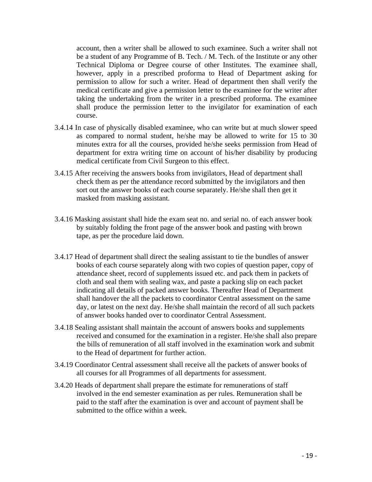account, then a writer shall be allowed to such examinee. Such a writer shall not be a student of any Programme of B. Tech. / M. Tech. of the Institute or any other Technical Diploma or Degree course of other Institutes. The examinee shall, however, apply in a prescribed proforma to Head of Department asking for permission to allow for such a writer. Head of department then shall verify the medical certificate and give a permission letter to the examinee for the writer after taking the undertaking from the writer in a prescribed proforma. The examinee shall produce the permission letter to the invigilator for examination of each course.

- 3.4.14 In case of physically disabled examinee, who can write but at much slower speed as compared to normal student, he/she may be allowed to write for 15 to 30 minutes extra for all the courses, provided he/she seeks permission from Head of department for extra writing time on account of his/her disability by producing medical certificate from Civil Surgeon to this effect.
- 3.4.15 After receiving the answers books from invigilators, Head of department shall check them as per the attendance record submitted by the invigilators and then sort out the answer books of each course separately. He/she shall then get it masked from masking assistant.
- 3.4.16 Masking assistant shall hide the exam seat no. and serial no. of each answer book by suitably folding the front page of the answer book and pasting with brown tape, as per the procedure laid down.
- 3.4.17 Head of department shall direct the sealing assistant to tie the bundles of answer books of each course separately along with two copies of question paper, copy of attendance sheet, record of supplements issued etc. and pack them in packets of cloth and seal them with sealing wax, and paste a packing slip on each packet indicating all details of packed answer books. Thereafter Head of Department shall handover the all the packets to coordinator Central assessment on the same day, or latest on the next day. He/she shall maintain the record of all such packets of answer books handed over to coordinator Central Assessment.
- 3.4.18 Sealing assistant shall maintain the account of answers books and supplements received and consumed for the examination in a register. He/she shall also prepare the bills of remuneration of all staff involved in the examination work and submit to the Head of department for further action.
- 3.4.19 Coordinator Central assessment shall receive all the packets of answer books of all courses for all Programmes of all departments for assessment.
- 3.4.20 Heads of department shall prepare the estimate for remunerations of staff involved in the end semester examination as per rules. Remuneration shall be paid to the staff after the examination is over and account of payment shall be submitted to the office within a week.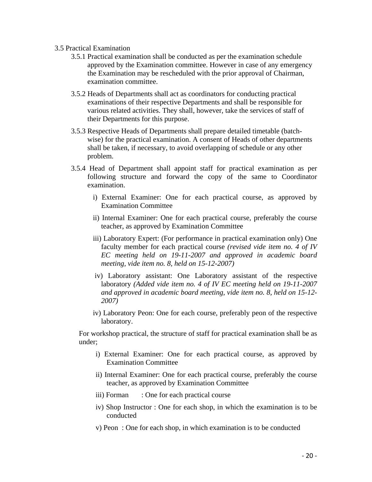#### 3.5 Practical Examination

- 3.5.1 Practical examination shall be conducted as per the examination schedule approved by the Examination committee. However in case of any emergency the Examination may be rescheduled with the prior approval of Chairman, examination committee.
- 3.5.2 Heads of Departments shall act as coordinators for conducting practical examinations of their respective Departments and shall be responsible for various related activities. They shall, however, take the services of staff of their Departments for this purpose.
- 3.5.3 Respective Heads of Departments shall prepare detailed timetable (batchwise) for the practical examination. A consent of Heads of other departments shall be taken, if necessary, to avoid overlapping of schedule or any other problem.
- 3.5.4 Head of Department shall appoint staff for practical examination as per following structure and forward the copy of the same to Coordinator examination.
	- i) External Examiner: One for each practical course, as approved by Examination Committee
	- ii) Internal Examiner: One for each practical course, preferably the course teacher, as approved by Examination Committee
	- iii) Laboratory Expert: (For performance in practical examination only) One faculty member for each practical course *(revised vide item no. 4 of IV EC meeting held on 19-11-2007 and approved in academic board meeting, vide item no. 8, held on 15-12-2007)*
	- iv) Laboratory assistant: One Laboratory assistant of the respective laboratory *(Added vide item no. 4 of IV EC meeting held on 19-11-2007 and approved in academic board meeting, vide item no. 8, held on 15-12- 2007)*
	- iv) Laboratory Peon: One for each course, preferably peon of the respective laboratory.

For workshop practical, the structure of staff for practical examination shall be as under;

- i) External Examiner: One for each practical course, as approved by Examination Committee
- ii) Internal Examiner: One for each practical course, preferably the course teacher, as approved by Examination Committee
- iii) Forman : One for each practical course
- iv) Shop Instructor : One for each shop, in which the examination is to be conducted
- v) Peon : One for each shop, in which examination is to be conducted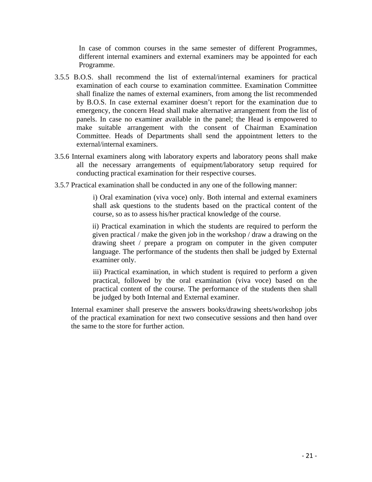In case of common courses in the same semester of different Programmes, different internal examiners and external examiners may be appointed for each Programme.

- 3.5.5 B.O.S. shall recommend the list of external/internal examiners for practical examination of each course to examination committee. Examination Committee shall finalize the names of external examiners, from among the list recommended by B.O.S. In case external examiner doesn't report for the examination due to emergency, the concern Head shall make alternative arrangement from the list of panels. In case no examiner available in the panel; the Head is empowered to make suitable arrangement with the consent of Chairman Examination Committee. Heads of Departments shall send the appointment letters to the external/internal examiners.
- 3.5.6 Internal examiners along with laboratory experts and laboratory peons shall make all the necessary arrangements of equipment/laboratory setup required for conducting practical examination for their respective courses.
- 3.5.7 Practical examination shall be conducted in any one of the following manner:

i) Oral examination (viva voce) only. Both internal and external examiners shall ask questions to the students based on the practical content of the course, so as to assess his/her practical knowledge of the course.

ii) Practical examination in which the students are required to perform the given practical / make the given job in the workshop / draw a drawing on the drawing sheet / prepare a program on computer in the given computer language. The performance of the students then shall be judged by External examiner only.

iii) Practical examination, in which student is required to perform a given practical, followed by the oral examination (viva voce) based on the practical content of the course. The performance of the students then shall be judged by both Internal and External examiner.

Internal examiner shall preserve the answers books/drawing sheets/workshop jobs of the practical examination for next two consecutive sessions and then hand over the same to the store for further action.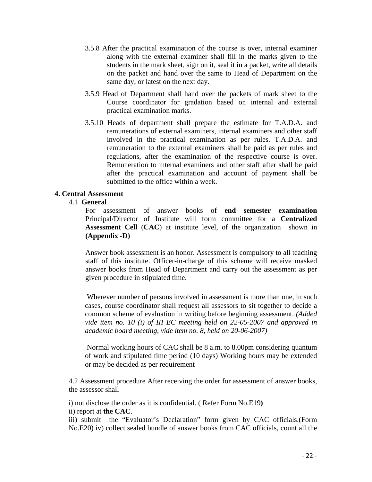- 3.5.8 After the practical examination of the course is over, internal examiner along with the external examiner shall fill in the marks given to the students in the mark sheet, sign on it, seal it in a packet, write all details on the packet and hand over the same to Head of Department on the same day, or latest on the next day.
- 3.5.9 Head of Department shall hand over the packets of mark sheet to the Course coordinator for gradation based on internal and external practical examination marks.
- 3.5.10 Heads of department shall prepare the estimate for T.A.D.A. and remunerations of external examiners, internal examiners and other staff involved in the practical examination as per rules. T.A.D.A. and remuneration to the external examiners shall be paid as per rules and regulations, after the examination of the respective course is over. Remuneration to internal examiners and other staff after shall be paid after the practical examination and account of payment shall be submitted to the office within a week.

## **4. Central Assessment**

## 4.1 **General**

For assessment of answer books of **end semester examination**  Principal/Director of Institute will form committee for a **Centralized Assessment Cell** (**CAC**) at institute level, of the organization shown in **(Appendix -D)** 

Answer book assessment is an honor. Assessment is compulsory to all teaching staff of this institute. Officer-in-charge of this scheme will receive masked answer books from Head of Department and carry out the assessment as per given procedure in stipulated time.

Wherever number of persons involved in assessment is more than one, in such cases, course coordinator shall request all assessors to sit together to decide a common scheme of evaluation in writing before beginning assessment. *(Added vide item no. 10 (i) of III EC meeting held on 22-05-2007 and approved in academic board meeting, vide item no. 8, held on 20-06-2007)* 

Normal working hours of CAC shall be 8 a.m. to 8.00pm considering quantum of work and stipulated time period (10 days) Working hours may be extended or may be decided as per requirement

4.2 Assessment procedure After receiving the order for assessment of answer books, the assessor shall

i) not disclose the order as it is confidential. ( Refer Form No.E19**)** 

ii) report at **the CAC**.

iii) submit the "Evaluator's Declaration" form given by CAC officials.(Form No.E20) iv) collect sealed bundle of answer books from CAC officials, count all the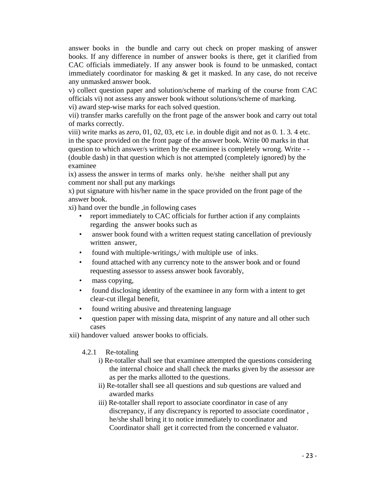answer books in the bundle and carry out check on proper masking of answer books. If any difference in number of answer books is there, get it clarified from CAC officials immediately. If any answer book is found to be unmasked, contact immediately coordinator for masking & get it masked. In any case, do not receive any unmasked answer book.

v) collect question paper and solution/scheme of marking of the course from CAC officials vi) not assess any answer book without solutions/scheme of marking.

vi) award step-wise marks for each solved question.

vii) transfer marks carefully on the front page of the answer book and carry out total of marks correctly.

viii) write marks as *zero*, 01, 02, 03, etc i.e. in double digit and not as 0. 1. 3. 4 etc. in the space provided on the front page of the answer book. Write 00 marks in that question to which answer/s written by the examinee is completely wrong. Write - - (double dash) in that question which is not attempted (completely ignored) by the examinee

ix) assess the answer in terms of marks only. he/she neither shall put any comment nor shall put any markings

x) put signature with his/her name in the space provided on the front page of the answer book.

xi) hand over the bundle ,in following cases

- report immediately to CAC officials for further action if any complaints regarding the answer books such as
- answer book found with a written request stating cancellation of previously written answer,
- found with multiple-writings,/ with multiple use of inks.
- found attached with any currency note to the answer book and or found requesting assessor to assess answer book favorably,
- mass copying,
- found disclosing identity of the examinee in any form with a intent to get clear-cut illegal benefit,
- found writing abusive and threatening language
- question paper with missing data, misprint of any nature and all other such cases

xii) handover valued answer books to officials.

4.2.1 Re-totaling

- i) Re-totaller shall see that examinee attempted the questions considering the internal choice and shall check the marks given by the assessor are as per the marks allotted to the questions.
- ii) Re-totaller shall see all questions and sub questions are valued and awarded marks
- iii) Re-totaller shall report to associate coordinator in case of any discrepancy, if any discrepancy is reported to associate coordinator , he/she shall bring it to notice immediately to coordinator and Coordinator shall get it corrected from the concerned e valuator.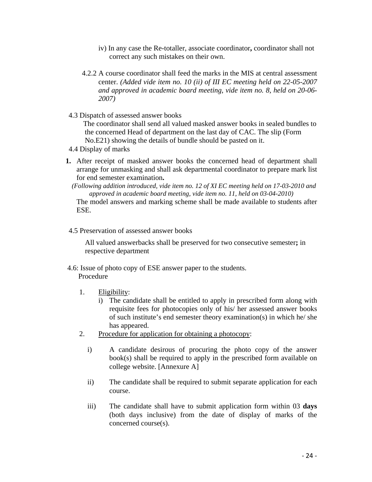- iv) In any case the Re-totaller, associate coordinator**,** coordinator shall not correct any such mistakes on their own.
- 4.2.2 A course coordinator shall feed the marks in the MIS at central assessment center. *(Added vide item no. 10 (ii) of III EC meeting held on 22-05-2007 and approved in academic board meeting, vide item no. 8, held on 20-06- 2007)*
- 4.3 Dispatch of assessed answer books

 The coordinator shall send all valued masked answer books in sealed bundles to the concerned Head of department on the last day of CAC. The slip (Form No.E21) showing the details of bundle should be pasted on it.

- 4.4 Display of marks
- **1.** After receipt of masked answer books the concerned head of department shall arrange for unmasking and shall ask departmental coordinator to prepare mark list for end semester examination**.** 
	- *(Following addition introduced, vide item no. 12 of XI EC meeting held on 17-03-2010 and approved in academic board meeting, vide item no. 11, held on 03-04-2010)*

 The model answers and marking scheme shall be made available to students after ESE.

4.5 Preservation of assessed answer books

All valued answerbacks shall be preserved for two consecutive semester**;** in respective department

- 4.6: Issue of photo copy of ESE answer paper to the students. Procedure
	- 1. Eligibility:
		- i) The candidate shall be entitled to apply in prescribed form along with requisite fees for photocopies only of his/ her assessed answer books of such institute's end semester theory examination(s) in which he/ she has appeared.
	- 2. Procedure for application for obtaining a photocopy:
		- i) A candidate desirous of procuring the photo copy of the answer book(s) shall be required to apply in the prescribed form available on college website. [Annexure A]
		- ii) The candidate shall be required to submit separate application for each course.
		- iii) The candidate shall have to submit application form within 03 **days** (both days inclusive) from the date of display of marks of the concerned course(s).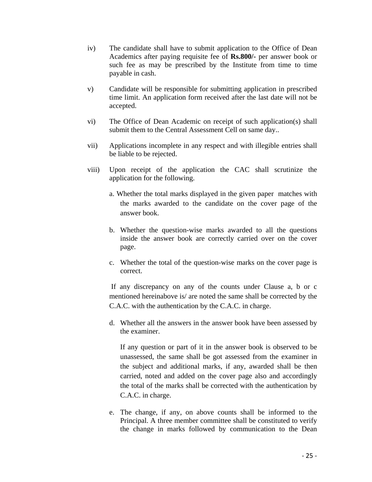- iv) The candidate shall have to submit application to the Office of Dean Academics after paying requisite fee of **Rs.800/-** per answer book or such fee as may be prescribed by the Institute from time to time payable in cash.
- v) Candidate will be responsible for submitting application in prescribed time limit. An application form received after the last date will not be accepted.
- vi) The Office of Dean Academic on receipt of such application(s) shall submit them to the Central Assessment Cell on same day..
- vii) Applications incomplete in any respect and with illegible entries shall be liable to be rejected.
- viii) Upon receipt of the application the CAC shall scrutinize the application for the following.
	- a. Whether the total marks displayed in the given paper matches with the marks awarded to the candidate on the cover page of the answer book.
	- b. Whether the question-wise marks awarded to all the questions inside the answer book are correctly carried over on the cover page.
	- c. Whether the total of the question-wise marks on the cover page is correct.

 If any discrepancy on any of the counts under Clause a, b or c mentioned hereinabove is/ are noted the same shall be corrected by the C.A.C. with the authentication by the C.A.C. in charge.

d. Whether all the answers in the answer book have been assessed by the examiner.

If any question or part of it in the answer book is observed to be unassessed, the same shall be got assessed from the examiner in the subject and additional marks, if any, awarded shall be then carried, noted and added on the cover page also and accordingly the total of the marks shall be corrected with the authentication by C.A.C. in charge.

e. The change, if any, on above counts shall be informed to the Principal. A three member committee shall be constituted to verify the change in marks followed by communication to the Dean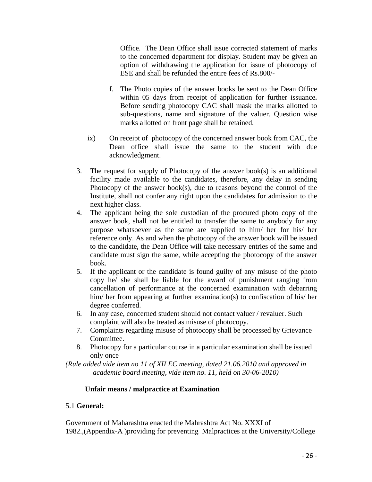Office. The Dean Office shall issue corrected statement of marks to the concerned department for display. Student may be given an option of withdrawing the application for issue of photocopy of ESE and shall be refunded the entire fees of Rs.800/-

- f. The Photo copies of the answer books be sent to the Dean Office within 05 days from receipt of application for further issuance**.**  Before sending photocopy CAC shall mask the marks allotted to sub-questions, name and signature of the valuer. Question wise marks allotted on front page shall be retained.
- ix) On receipt of photocopy of the concerned answer book from CAC, the Dean office shall issue the same to the student with due acknowledgment.
- 3. The request for supply of Photocopy of the answer book(s) is an additional facility made available to the candidates, therefore, any delay in sending Photocopy of the answer book(s), due to reasons beyond the control of the Institute, shall not confer any right upon the candidates for admission to the next higher class.
- 4. The applicant being the sole custodian of the procured photo copy of the answer book, shall not be entitled to transfer the same to anybody for any purpose whatsoever as the same are supplied to him/ her for his/ her reference only. As and when the photocopy of the answer book will be issued to the candidate, the Dean Office will take necessary entries of the same and candidate must sign the same, while accepting the photocopy of the answer book.
- 5. If the applicant or the candidate is found guilty of any misuse of the photo copy he/ she shall be liable for the award of punishment ranging from cancellation of performance at the concerned examination with debarring him/ her from appearing at further examination(s) to confiscation of his/ her degree conferred.
- 6. In any case, concerned student should not contact valuer / revaluer. Such complaint will also be treated as misuse of photocopy.
- 7. Complaints regarding misuse of photocopy shall be processed by Grievance Committee.
- 8. Photocopy for a particular course in a particular examination shall be issued only once

*(Rule added vide item no 11 of XII EC meeting, dated 21.06.2010 and approved in academic board meeting, vide item no. 11, held on 30-06-2010)* 

## **Unfair means / malpractice at Examination**

## 5.1 **General:**

Government of Maharashtra enacted the Mahrashtra Act No. XXXI of 1982.,(Appendix-A )providing for preventing Malpractices at the University/College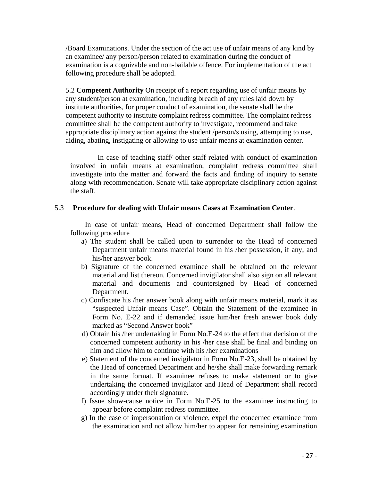/Board Examinations. Under the section of the act use of unfair means of any kind by an examinee/ any person/person related to examination during the conduct of examination is a cognizable and non-bailable offence. For implementation of the act following procedure shall be adopted.

5.2 **Competent Authority** On receipt of a report regarding use of unfair means by any student/person at examination, including breach of any rules laid down by institute authorities, for proper conduct of examination, the senate shall be the competent authority to institute complaint redress committee. The complaint redress committee shall be the competent authority to investigate, recommend and take appropriate disciplinary action against the student /person/s using, attempting to use, aiding, abating, instigating or allowing to use unfair means at examination center.

 In case of teaching staff/ other staff related with conduct of examination involved in unfair means at examination, complaint redress committee shall investigate into the matter and forward the facts and finding of inquiry to senate along with recommendation. Senate will take appropriate disciplinary action against the staff.

#### 5.3 **Procedure for dealing with Unfair means Cases at Examination Center**.

In case of unfair means, Head of concerned Department shall follow the following procedure

- a) The student shall be called upon to surrender to the Head of concerned Department unfair means material found in his /her possession, if any, and his/her answer book.
- b) Signature of the concerned examinee shall be obtained on the relevant material and list thereon. Concerned invigilator shall also sign on all relevant material and documents and countersigned by Head of concerned Department.
- c) Confiscate his /her answer book along with unfair means material, mark it as "suspected Unfair means Case". Obtain the Statement of the examinee in Form No. E-22 and if demanded issue him/her fresh answer book duly marked as "Second Answer book"
- d) Obtain his /her undertaking in Form No.E-24 to the effect that decision of the concerned competent authority in his /her case shall be final and binding on him and allow him to continue with his /her examinations
- e) Statement of the concerned invigilator in Form No.E-23, shall be obtained by the Head of concerned Department and he/she shall make forwarding remark in the same format. If examinee refuses to make statement or to give undertaking the concerned invigilator and Head of Department shall record accordingly under their signature.
- f) Issue show-cause notice in Form No.E-25 to the examinee instructing to appear before complaint redress committee.
- g) In the case of impersonation or violence, expel the concerned examinee from the examination and not allow him/her to appear for remaining examination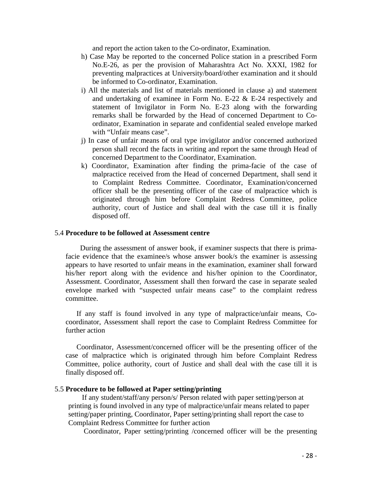and report the action taken to the Co-ordinator, Examination.

- h) Case May be reported to the concerned Police station in a prescribed Form No.E-26, as per the provision of Maharashtra Act No. XXXI, 1982 for preventing malpractices at University/board/other examination and it should be informed to Co-ordinator, Examination.
- i) All the materials and list of materials mentioned in clause a) and statement and undertaking of examinee in Form No. E-22 & E-24 respectively and statement of Invigilator in Form No. E-23 along with the forwarding remarks shall be forwarded by the Head of concerned Department to Coordinator, Examination in separate and confidential sealed envelope marked with "Unfair means case".
- j) In case of unfair means of oral type invigilator and/or concerned authorized person shall record the facts in writing and report the same through Head of concerned Department to the Coordinator, Examination.
- k) Coordinator, Examination after finding the prima-facie of the case of malpractice received from the Head of concerned Department, shall send it to Complaint Redress Committee. Coordinator, Examination/concerned officer shall be the presenting officer of the case of malpractice which is originated through him before Complaint Redress Committee, police authority, court of Justice and shall deal with the case till it is finally disposed off.

#### 5.4 **Procedure to be followed at Assessment centre**

 During the assessment of answer book, if examiner suspects that there is primafacie evidence that the examinee/s whose answer book/s the examiner is assessing appears to have resorted to unfair means in the examination, examiner shall forward his/her report along with the evidence and his/her opinion to the Coordinator, Assessment. Coordinator, Assessment shall then forward the case in separate sealed envelope marked with "suspected unfair means case" to the complaint redress committee.

If any staff is found involved in any type of malpractice/unfair means, Cocoordinator, Assessment shall report the case to Complaint Redress Committee for further action

Coordinator, Assessment/concerned officer will be the presenting officer of the case of malpractice which is originated through him before Complaint Redress Committee, police authority, court of Justice and shall deal with the case till it is finally disposed off.

#### 5.5 **Procedure to be followed at Paper setting/printing**

If any student/staff/any person/s/ Person related with paper setting/person at printing is found involved in any type of malpractice/unfair means related to paper setting/paper printing, Coordinator, Paper setting/printing shall report the case to Complaint Redress Committee for further action

Coordinator, Paper setting/printing /concerned officer will be the presenting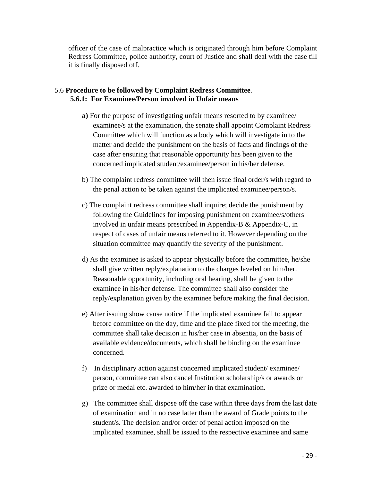officer of the case of malpractice which is originated through him before Complaint Redress Committee, police authority, court of Justice and shall deal with the case till it is finally disposed off.

## 5.6 **Procedure to be followed by Complaint Redress Committee**. **5.6.1: For Examinee/Person involved in Unfair means**

- **a)** For the purpose of investigating unfair means resorted to by examinee/ examinee/s at the examination, the senate shall appoint Complaint Redress Committee which will function as a body which will investigate in to the matter and decide the punishment on the basis of facts and findings of the case after ensuring that reasonable opportunity has been given to the concerned implicated student/examinee/person in his/her defense.
- b) The complaint redress committee will then issue final order/s with regard to the penal action to be taken against the implicated examinee/person/s.
- c) The complaint redress committee shall inquire; decide the punishment by following the Guidelines for imposing punishment on examinee/s/others involved in unfair means prescribed in Appendix-B & Appendix-C, in respect of cases of unfair means referred to it. However depending on the situation committee may quantify the severity of the punishment.
- d) As the examinee is asked to appear physically before the committee, he/she shall give written reply/explanation to the charges leveled on him/her. Reasonable opportunity, including oral hearing, shall be given to the examinee in his/her defense. The committee shall also consider the reply/explanation given by the examinee before making the final decision.
- e) After issuing show cause notice if the implicated examinee fail to appear before committee on the day, time and the place fixed for the meeting, the committee shall take decision in his/her case in absentia, on the basis of available evidence/documents, which shall be binding on the examinee concerned.
- f) In disciplinary action against concerned implicated student/ examinee/ person, committee can also cancel Institution scholarship/s or awards or prize or medal etc. awarded to him/her in that examination.
- g) The committee shall dispose off the case within three days from the last date of examination and in no case latter than the award of Grade points to the student/s. The decision and/or order of penal action imposed on the implicated examinee, shall be issued to the respective examinee and same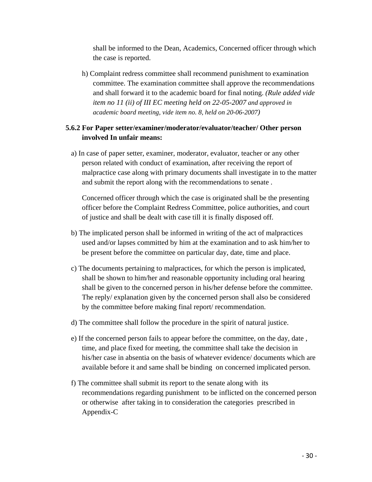shall be informed to the Dean, Academics, Concerned officer through which the case is reported.

h) Complaint redress committee shall recommend punishment to examination committee. The examination committee shall approve the recommendations and shall forward it to the academic board for final noting. *(Rule added vide item no 11 (ii) of III EC meeting held on 22-05-2007 and approved in academic board meeting, vide item no. 8, held on 20-06-2007)*

## **5.6.2 For Paper setter/examiner/moderator/evaluator/teacher/ Other person involved In unfair means:**

a) In case of paper setter, examiner, moderator, evaluator, teacher or any other person related with conduct of examination, after receiving the report of malpractice case along with primary documents shall investigate in to the matter and submit the report along with the recommendations to senate .

 Concerned officer through which the case is originated shall be the presenting officer before the Complaint Redress Committee, police authorities, and court of justice and shall be dealt with case till it is finally disposed off.

- b) The implicated person shall be informed in writing of the act of malpractices used and/or lapses committed by him at the examination and to ask him/her to be present before the committee on particular day, date, time and place.
- c) The documents pertaining to malpractices, for which the person is implicated, shall be shown to him/her and reasonable opportunity including oral hearing shall be given to the concerned person in his/her defense before the committee. The reply/ explanation given by the concerned person shall also be considered by the committee before making final report/ recommendation.
- d) The committee shall follow the procedure in the spirit of natural justice.
- e) If the concerned person fails to appear before the committee, on the day, date , time, and place fixed for meeting, the committee shall take the decision in his/her case in absentia on the basis of whatever evidence/ documents which are available before it and same shall be binding on concerned implicated person.
- f) The committee shall submit its report to the senate along with its recommendations regarding punishment to be inflicted on the concerned person or otherwise after taking in to consideration the categories prescribed in Appendix-C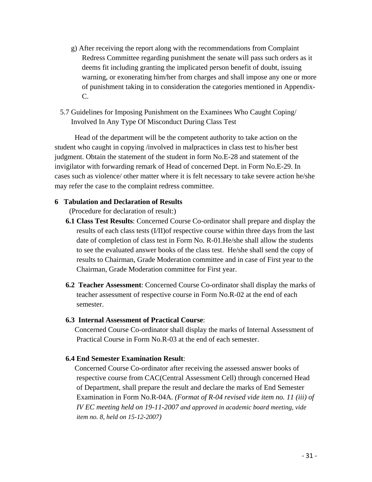- g) After receiving the report along with the recommendations from Complaint Redress Committee regarding punishment the senate will pass such orders as it deems fit including granting the implicated person benefit of doubt, issuing warning, or exonerating him/her from charges and shall impose any one or more of punishment taking in to consideration the categories mentioned in Appendix-C.
- 5.7 Guidelines for Imposing Punishment on the Examinees Who Caught Coping/ Involved In Any Type Of Misconduct During Class Test

 Head of the department will be the competent authority to take action on the student who caught in copying /involved in malpractices in class test to his/her best judgment. Obtain the statement of the student in form No.E-28 and statement of the invigilator with forwarding remark of Head of concerned Dept. in Form No.E-29. In cases such as violence/ other matter where it is felt necessary to take severe action he/she may refer the case to the complaint redress committee.

## **6 Tabulation and Declaration of Results**

(Procedure for declaration of result:)

- **6.1 Class Test Results**: Concerned Course Co-ordinator shall prepare and display the results of each class tests (I/II)of respective course within three days from the last date of completion of class test in Form No. R-01.He/she shall allow the students to see the evaluated answer books of the class test. He/she shall send the copy of results to Chairman, Grade Moderation committee and in case of First year to the Chairman, Grade Moderation committee for First year.
- **6.2 Teacher Assessment**: Concerned Course Co-ordinator shall display the marks of teacher assessment of respective course in Form No.R-02 at the end of each semester.

## **6.3 Internal Assessment of Practical Course**:

 Concerned Course Co-ordinator shall display the marks of Internal Assessment of Practical Course in Form No.R-03 at the end of each semester.

## **6.4 End Semester Examination Result**:

 Concerned Course Co-ordinator after receiving the assessed answer books of respective course from CAC(Central Assessment Cell) through concerned Head of Department, shall prepare the result and declare the marks of End Semester Examination in Form No.R-04A. *(Format of R-04 revised vide item no. 11 (iii) of IV EC meeting held on 19-11-2007 and approved in academic board meeting, vide item no. 8, held on 15-12-2007)*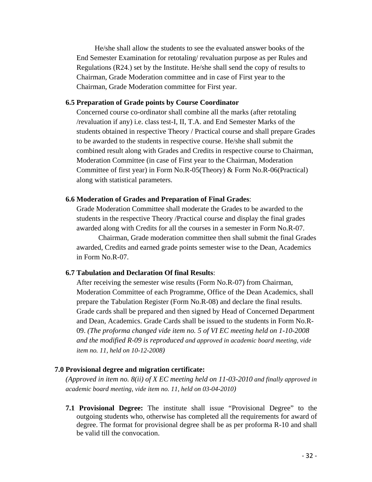He/she shall allow the students to see the evaluated answer books of the End Semester Examination for retotaling/ revaluation purpose as per Rules and Regulations (R24.) set by the Institute. He/she shall send the copy of results to Chairman, Grade Moderation committee and in case of First year to the Chairman, Grade Moderation committee for First year.

#### **6.5 Preparation of Grade points by Course Coordinator**

 Concerned course co-ordinator shall combine all the marks (after retotaling /revaluation if any) i.e. class test-I, II, T.A. and End Semester Marks of the students obtained in respective Theory / Practical course and shall prepare Grades to be awarded to the students in respective course. He/she shall submit the combined result along with Grades and Credits in respective course to Chairman, Moderation Committee (in case of First year to the Chairman, Moderation Committee of first year) in Form No.R-05(Theory) & Form No.R-06(Practical) along with statistical parameters.

#### **6.6 Moderation of Grades and Preparation of Final Grades**:

 Grade Moderation Committee shall moderate the Grades to be awarded to the students in the respective Theory /Practical course and display the final grades awarded along with Credits for all the courses in a semester in Form No.R-07.

Chairman, Grade moderation committee then shall submit the final Grades awarded, Credits and earned grade points semester wise to the Dean, Academics in Form No.R-07.

## **6.7 Tabulation and Declaration Of final Results**:

After receiving the semester wise results (Form No.R-07) from Chairman, Moderation Committee of each Programme, Office of the Dean Academics, shall prepare the Tabulation Register (Form No.R-08) and declare the final results. Grade cards shall be prepared and then signed by Head of Concerned Department and Dean, Academics. Grade Cards shall be issued to the students in Form No.R-09. *(The proforma changed vide item no. 5 of VI EC meeting held on 1-10-2008 and the modified R-09 is reproduced and approved in academic board meeting, vide item no. 11, held on 10-12-2008)* 

#### **7.0 Provisional degree and migration certificate:**

*(Approved in item no. 8(ii) of X EC meeting held on 11-03-2010 and finally approved in academic board meeting, vide item no. 11, held on 03-04-2010)* 

**7.1 Provisional Degree:** The institute shall issue "Provisional Degree" to the outgoing students who, otherwise has completed all the requirements for award of degree. The format for provisional degree shall be as per proforma R-10 and shall be valid till the convocation.